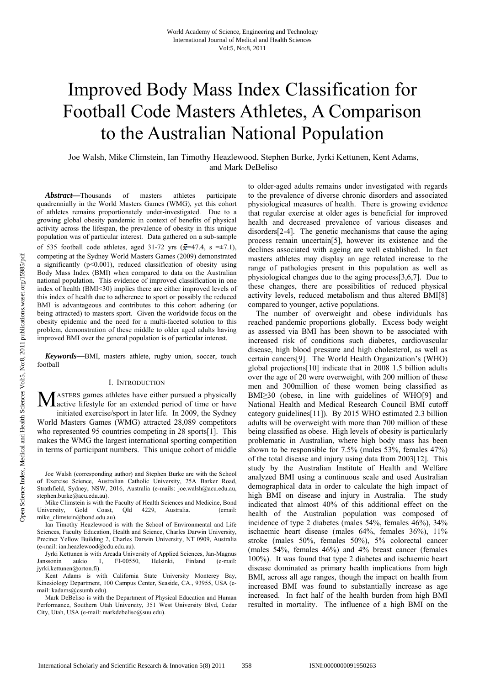# Improved Body Mass Index Classification for Football Code Masters Athletes, A Comparison to the Australian National Population

Joe Walsh, Mike Climstein, Ian Timothy Heazlewood, Stephen Burke, Jyrki Kettunen, Kent Adams, and Mark DeBeliso

*Abstract***—**Thousands of masters athletes participate quadrennially in the World Masters Games (WMG), yet this cohort of athletes remains proportionately under-investigated. Due to a growing global obesity pandemic in context of benefits of physical activity across the lifespan, the prevalence of obesity in this unique population was of particular interest. Data gathered on a sub-sample of 535 football code athletes, aged 31-72 yrs  $(\bar{x}=47.4, s = \pm 7.1)$ , competing at the Sydney World Masters Games (2009) demonstrated a significantly  $(p<0.001)$ , reduced classification of obesity using Body Mass Index (BMI) when compared to data on the Australian national population. This evidence of improved classification in one index of health (BMI<30) implies there are either improved levels of this index of health due to adherence to sport or possibly the reduced BMI is advantageous and contributes to this cohort adhering (or being attracted) to masters sport. Given the worldwide focus on the obesity epidemic and the need for a multi-faceted solution to this problem, demonstration of these middle to older aged adults having improved BMI over the general population is of particular interest.

*Keywords***—**BMI, masters athlete, rugby union, soccer, touch football

#### I. INTRODUCTION

ASTERS games athletes have either pursued a physically **M** ASTERS games athletes have either pursued a physically active lifestyle for an extended period of time or have initiated exercise/sport in later life. In 2009, the Sydney World Masters Games (WMG) attracted 28,089 competitors who represented 95 countries competing in 28 sports[1]. This makes the WMG the largest international sporting competition in terms of participant numbers. This unique cohort of middle

Mike Climstein is with the Faculty of Health Sciences and Medicine, Bond University, Gold Coast, Qld 4229, Australia. (email: Gold Coast, Old 4229, Australia. (email: mike\_climstein@bond.edu.au).

Ian Timothy Heazlewood is with the School of Environmental and Life Sciences, Faculty Education, Health and Science, Charles Darwin University, Precinct Yellow Building 2, Charles Darwin University, NT 0909, Australia (e-mail: ian.heazlewood@cdu.edu.au).

Jyrki Kettunen is with Arcada University of Applied Sciences, Jan-Magnus Janssonin aukio 1, FI-00550, Helsinki, Finland (e-mail: jyrki.kettunen@orton.fi).

Kent Adams is with California State University Monterey Bay, Kinesiology Department, 100 Campus Center, Seaside, CA., 93955, USA (email: kadams@csumb.edu).

Mark DeBeliso is with the Department of Physical Education and Human Performance, Southern Utah University, 351 West University Blvd, Cedar City, Utah, USA (e-mail: markdebeliso@suu.edu).

to older-aged adults remains under investigated with regards to the prevalence of diverse chronic disorders and associated physiological measures of health. There is growing evidence that regular exercise at older ages is beneficial for improved health and decreased prevalence of various diseases and disorders[2-4]. The genetic mechanisms that cause the aging process remain uncertain[5], however its existence and the declines associated with ageing are well established. In fact masters athletes may display an age related increase to the range of pathologies present in this population as well as physiological changes due to the aging process[3,6,7]. Due to these changes, there are possibilities of reduced physical activity levels, reduced metabolism and thus altered BMI[8] compared to younger, active populations.

The number of overweight and obese individuals has reached pandemic proportions globally. Excess body weight as assessed via BMI has been shown to be associated with increased risk of conditions such diabetes, cardiovascular disease, high blood pressure and high cholesterol, as well as certain cancers[9]. The World Health Organization's (WHO) global projections[10] indicate that in 2008 1.5 billion adults over the age of 20 were overweight, with 200 million of these men and 300million of these women being classified as BMI≥30 (obese, in line with guidelines of WHO[9] and National Health and Medical Research Council BMI cutoff category guidelines[11]). By 2015 WHO estimated 2.3 billion adults will be overweight with more than 700 million of these being classified as obese. High levels of obesity is particularly problematic in Australian, where high body mass has been shown to be responsible for 7.5% (males 53%, females 47%) of the total disease and injury using data from 2003[12]. This study by the Australian Institute of Health and Welfare analyzed BMI using a continuous scale and used Australian demographical data in order to calculate the high impact of high BMI on disease and injury in Australia. The study indicated that almost 40% of this additional effect on the health of the Australian population was composed of incidence of type 2 diabetes (males 54%, females 46%), 34% ischaemic heart disease (males 64%, females 36%), 11% stroke (males 50%, females 50%), 5% colorectal cancer (males 54%, females 46%) and 4% breast cancer (females 100%). It was found that type 2 diabetes and ischaemic heart disease dominated as primary health implications from high BMI, across all age ranges, though the impact on health from increased BMI was found to substantially increase as age increased. In fact half of the health burden from high BMI resulted in mortality. The influence of a high BMI on the

Joe Walsh (corresponding author) and Stephen Burke are with the School of Exercise Science, Australian Catholic University, 25A Barker Road, Strathfield, Sydney, NSW, 2016, Australia (e-mails: joe.walsh@acu.edu.au, stephen.burke@acu.edu.au).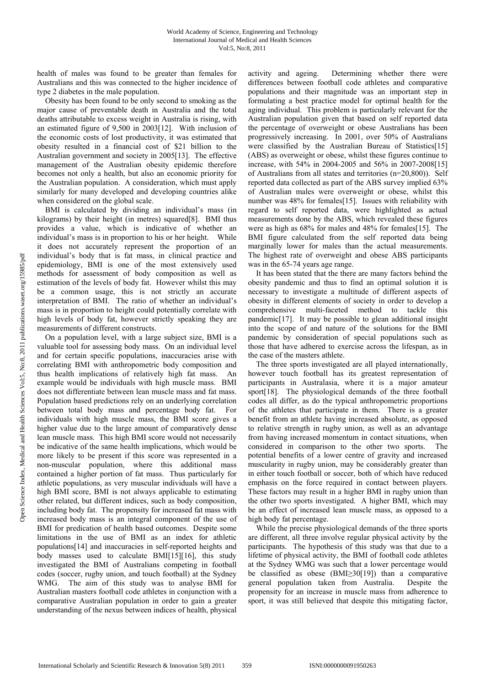health of males was found to be greater than females for Australians and this was connected to the higher incidence of type 2 diabetes in the male population.

Obesity has been found to be only second to smoking as the major cause of preventable death in Australia and the total deaths attributable to excess weight in Australia is rising, with an estimated figure of 9,500 in 2003[12]. With inclusion of the economic costs of lost productivity, it was estimated that obesity resulted in a financial cost of \$21 billion to the Australian government and society in 2005[13]. The effective management of the Australian obesity epidemic therefore becomes not only a health, but also an economic priority for the Australian population. A consideration, which must apply similarly for many developed and developing countries alike when considered on the global scale.

BMI is calculated by dividing an individual's mass (in kilograms) by their height (in metres) squared[8]. BMI thus provides a value, which is indicative of whether an individual's mass is in proportion to his or her height. While it does not accurately represent the proportion of an individual's body that is fat mass, in clinical practice and epidemiology, BMI is one of the most extensively used methods for assessment of body composition as well as estimation of the levels of body fat. However whilst this may be a common usage, this is not strictly an accurate interpretation of BMI. The ratio of whether an individual's mass is in proportion to height could potentially correlate with high levels of body fat, however strictly speaking they are measurements of different constructs.

On a population level, with a large subject size, BMI is a valuable tool for assessing body mass. On an individual level and for certain specific populations, inaccuracies arise with correlating BMI with anthropometric body composition and thus health implications of relatively high fat mass. An example would be individuals with high muscle mass. BMI does not differentiate between lean muscle mass and fat mass. Population based predictions rely on an underlying correlation between total body mass and percentage body fat. For individuals with high muscle mass, the BMI score gives a higher value due to the large amount of comparatively dense lean muscle mass. This high BMI score would not necessarily be indicative of the same health implications, which would be more likely to be present if this score was represented in a non-muscular population, where this additional mass contained a higher portion of fat mass. Thus particularly for athletic populations, as very muscular individuals will have a high BMI score, BMI is not always applicable to estimating other related, but different indices, such as body composition, including body fat. The propensity for increased fat mass with increased body mass is an integral component of the use of BMI for predication of health based outcomes. Despite some limitations in the use of BMI as an index for athletic populations[14] and inaccuracies in self-reported heights and body masses used to calculate BMI[15][16], this study investigated the BMI of Australians competing in football codes (soccer, rugby union, and touch football) at the Sydney WMG. The aim of this study was to analyse BMI for Australian masters football code athletes in conjunction with a comparative Australian population in order to gain a greater understanding of the nexus between indices of health, physical

activity and ageing. Determining whether there were differences between football code athletes and comparative populations and their magnitude was an important step in formulating a best practice model for optimal health for the aging individual. This problem is particularly relevant for the Australian population given that based on self reported data the percentage of overweight or obese Australians has been progressively increasing. In 2001, over 50% of Australians were classified by the Australian Bureau of Statistics[15] (ABS) as overweight or obese, whilst these figures continue to increase, with 54% in 2004-2005 and 56% in 2007-2008[15] of Australians from all states and territories (n=20,800)). Self reported data collected as part of the ABS survey implied 63% of Australian males were overweight or obese, whilst this number was 48% for females[15]. Issues with reliability with regard to self reported data, were highlighted as actual measurements done by the ABS, which revealed these figures were as high as 68% for males and 48% for females[15]. The BMI figure calculated from the self reported data being marginally lower for males than the actual measurements. The highest rate of overweight and obese ABS participants was in the 65-74 years age range.

It has been stated that the there are many factors behind the obesity pandemic and thus to find an optimal solution it is necessary to investigate a multitude of different aspects of obesity in different elements of society in order to develop a comprehensive multi-faceted method to tackle this pandemic[17]. It may be possible to glean additional insight into the scope of and nature of the solutions for the BMI pandemic by consideration of special populations such as those that have adhered to exercise across the lifespan, as in the case of the masters athlete.

The three sports investigated are all played internationally, however touch football has its greatest representation of participants in Australasia, where it is a major amateur sport[18]. The physiological demands of the three football codes all differ, as do the typical anthropometric proportions of the athletes that participate in them. There is a greater benefit from an athlete having increased absolute, as opposed to relative strength in rugby union, as well as an advantage from having increased momentum in contact situations, when considered in comparison to the other two sports. The potential benefits of a lower centre of gravity and increased muscularity in rugby union, may be considerably greater than in either touch football or soccer, both of which have reduced emphasis on the force required in contact between players. These factors may result in a higher BMI in rugby union than the other two sports investigated. A higher BMI, which may be an effect of increased lean muscle mass, as opposed to a high body fat percentage.

While the precise physiological demands of the three sports are different, all three involve regular physical activity by the participants. The hypothesis of this study was that due to a lifetime of physical activity, the BMI of football code athletes at the Sydney WMG was such that a lower percentage would be classified as obese (BMI≥30[19]) than a comparative general population taken from Australia. Despite the propensity for an increase in muscle mass from adherence to sport, it was still believed that despite this mitigating factor,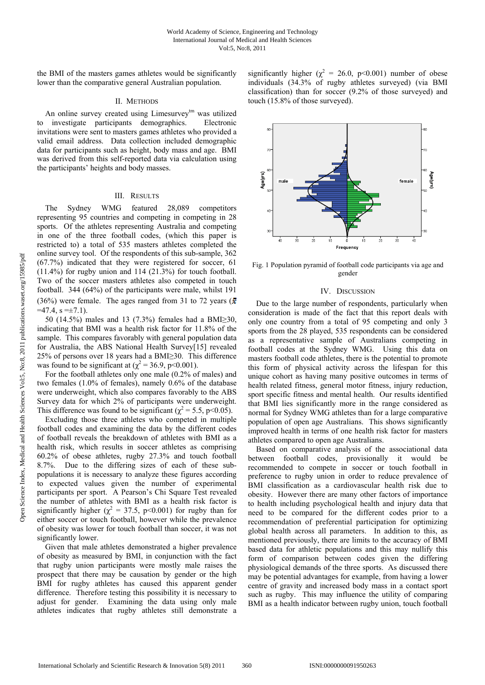the BMI of the masters games athletes would be significantly lower than the comparative general Australian population.

## II. METHODS

An online survey created using Limesurvey<sup>tm</sup> was utilized to investigate participants demographics. Electronic invitations were sent to masters games athletes who provided a valid email address. Data collection included demographic data for participants such as height, body mass and age. BMI was derived from this self-reported data via calculation using the participants' heights and body masses.

### III. RESULTS

The Sydney WMG featured 28,089 competitors representing 95 countries and competing in competing in 28 sports. Of the athletes representing Australia and competing in one of the three football codes, (which this paper is restricted to) a total of 535 masters athletes completed the online survey tool. Of the respondents of this sub-sample, 362 (67.7%) indicated that they were registered for soccer, 61 (11.4%) for rugby union and 114 (21.3%) for touch football. Two of the soccer masters athletes also competed in touch football. 344 (64%) of the participants were male, whilst 191 (36%) were female. The ages ranged from 31 to 72 years ( $\bar{x}$ )  $=47.4$ ,  $s = \pm 7.1$ ).

50 (14.5%) males and 13 (7.3%) females had a BMI≥30, indicating that BMI was a health risk factor for 11.8% of the sample. This compares favorably with general population data for Australia, the ABS National Health Survey[15] revealed 25% of persons over 18 years had a BMI≥30. This difference was found to be significant at ( $\chi^2$  = 36.9, p<0.001).

For the football athletes only one male (0.2% of males) and two females (1.0% of females), namely 0.6% of the database were underweight, which also compares favorably to the ABS Survey data for which 2% of participants were underweight. This difference was found to be significant ( $\chi^2$  = 5.5, p<0.05).

Excluding those three athletes who competed in multiple football codes and examining the data by the different codes of football reveals the breakdown of athletes with BMI as a health risk, which results in soccer athletes as comprising 60.2% of obese athletes, rugby 27.3% and touch football 8.7%. Due to the differing sizes of each of these subpopulations it is necessary to analyze these figures according to expected values given the number of experimental participants per sport. A Pearson's Chi Square Test revealed the number of athletes with BMI as a health risk factor is significantly higher ( $\chi^2 = 37.5$ , p<0.001) for rugby than for either soccer or touch football, however while the prevalence of obesity was lower for touch football than soccer, it was not significantly lower.

Given that male athletes demonstrated a higher prevalence of obesity as measured by BMI, in conjunction with the fact that rugby union participants were mostly male raises the prospect that there may be causation by gender or the high BMI for rugby athletes has caused this apparent gender difference. Therefore testing this possibility it is necessary to adjust for gender. Examining the data using only male athletes indicates that rugby athletes still demonstrate a

significantly higher ( $\chi^2 = 26.0$ , p<0.001) number of obese individuals (34.3% of rugby athletes surveyed) (via BMI classification) than for soccer (9.2% of those surveyed) and touch (15.8% of those surveyed).



Fig. 1 Population pyramid of football code participants via age and gender

#### IV. DISCUSSION

Due to the large number of respondents, particularly when consideration is made of the fact that this report deals with only one country from a total of 95 competing and only 3 sports from the 28 played, 535 respondents can be considered as a representative sample of Australians competing in football codes at the Sydney WMG. Using this data on masters football code athletes, there is the potential to promote this form of physical activity across the lifespan for this unique cohort as having many positive outcomes in terms of health related fitness, general motor fitness, injury reduction, sport specific fitness and mental health. Our results identified that BMI lies significantly more in the range considered as normal for Sydney WMG athletes than for a large comparative population of open age Australians. This shows significantly improved health in terms of one health risk factor for masters athletes compared to open age Australians.

Based on comparative analysis of the associational data between football codes, provisionally it would be recommended to compete in soccer or touch football in preference to rugby union in order to reduce prevalence of BMI classification as a cardiovascular health risk due to obesity. However there are many other factors of importance to health including psychological health and injury data that need to be compared for the different codes prior to a recommendation of preferential participation for optimizing global health across all parameters. In addition to this, as mentioned previously, there are limits to the accuracy of BMI based data for athletic populations and this may nullify this form of comparison between codes given the differing physiological demands of the three sports. As discussed there may be potential advantages for example, from having a lower centre of gravity and increased body mass in a contact sport such as rugby. This may influence the utility of comparing BMI as a health indicator between rugby union, touch football